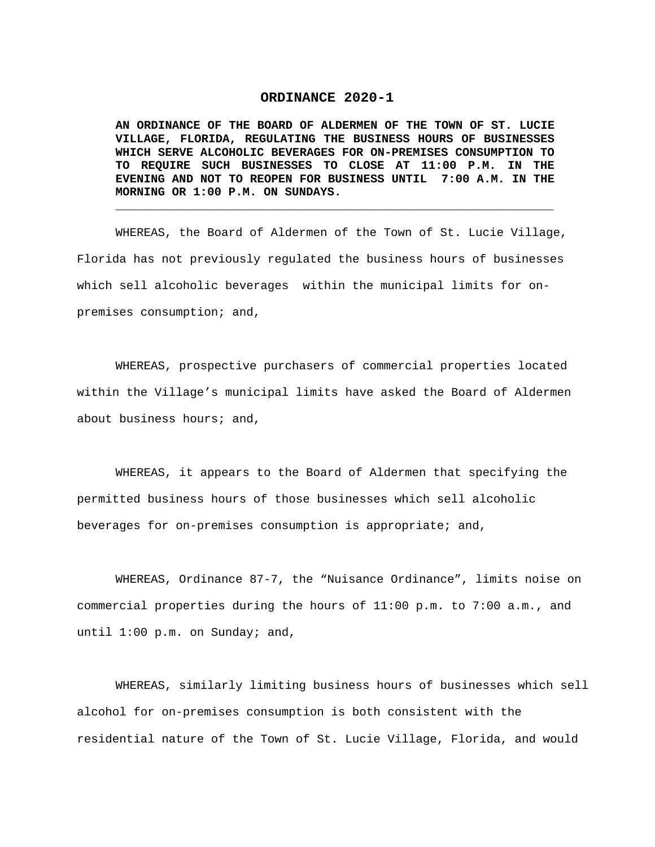## **ORDINANCE 2020-1**

**AN ORDINANCE OF THE BOARD OF ALDERMEN OF THE TOWN OF ST. LUCIE VILLAGE, FLORIDA, REGULATING THE BUSINESS HOURS OF BUSINESSES WHICH SERVE ALCOHOLIC BEVERAGES FOR ON-PREMISES CONSUMPTION TO TO REQUIRE SUCH BUSINESSES TO CLOSE AT 11:00 P.M. IN THE EVENING AND NOT TO REOPEN FOR BUSINESS UNTIL 7:00 A.M. IN THE MORNING OR 1:00 P.M. ON SUNDAYS.** 

**\_\_\_\_\_\_\_\_\_\_\_\_\_\_\_\_\_\_\_\_\_\_\_\_\_\_\_\_\_\_\_\_\_\_\_\_\_\_\_\_\_\_\_\_\_\_\_\_\_\_\_\_\_\_\_\_\_\_\_\_\_\_**

WHEREAS, the Board of Aldermen of the Town of St. Lucie Village, Florida has not previously regulated the business hours of businesses which sell alcoholic beverages within the municipal limits for onpremises consumption; and,

WHEREAS, prospective purchasers of commercial properties located within the Village's municipal limits have asked the Board of Aldermen about business hours; and,

WHEREAS, it appears to the Board of Aldermen that specifying the permitted business hours of those businesses which sell alcoholic beverages for on-premises consumption is appropriate; and,

WHEREAS, Ordinance 87-7, the "Nuisance Ordinance", limits noise on commercial properties during the hours of 11:00 p.m. to 7:00 a.m., and until 1:00 p.m. on Sunday; and,

WHEREAS, similarly limiting business hours of businesses which sell alcohol for on-premises consumption is both consistent with the residential nature of the Town of St. Lucie Village, Florida, and would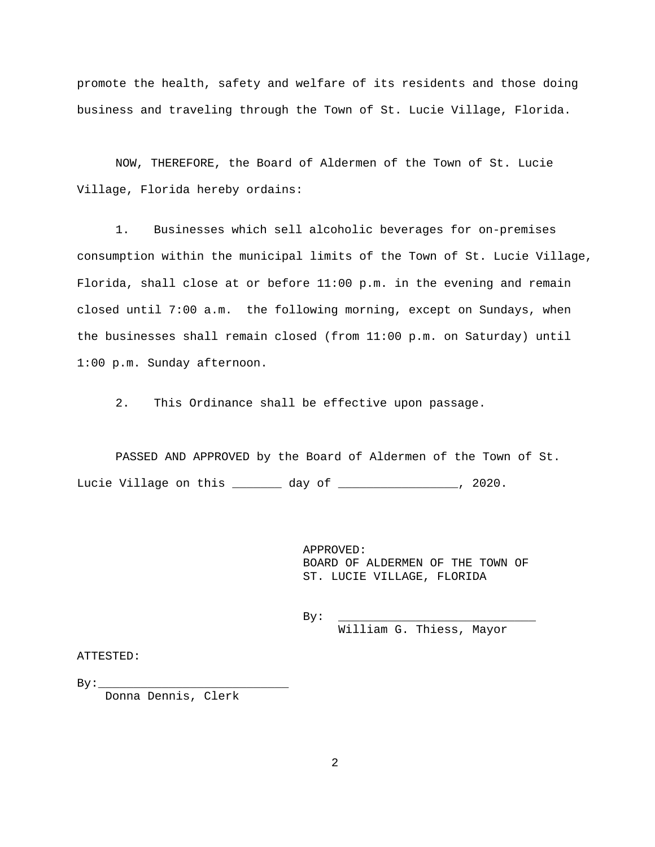promote the health, safety and welfare of its residents and those doing business and traveling through the Town of St. Lucie Village, Florida.

NOW, THEREFORE, the Board of Aldermen of the Town of St. Lucie Village, Florida hereby ordains:

1. Businesses which sell alcoholic beverages for on-premises consumption within the municipal limits of the Town of St. Lucie Village, Florida, shall close at or before 11:00 p.m. in the evening and remain closed until 7:00 a.m. the following morning, except on Sundays, when the businesses shall remain closed (from 11:00 p.m. on Saturday) until 1:00 p.m. Sunday afternoon.

2. This Ordinance shall be effective upon passage.

PASSED AND APPROVED by the Board of Aldermen of the Town of St. Lucie Village on this \_\_\_\_\_\_\_ day of \_\_\_\_\_\_\_\_\_\_\_\_\_\_\_\_\_, 2020.

> APPROVED: BOARD OF ALDERMEN OF THE TOWN OF ST. LUCIE VILLAGE, FLORIDA

 By: \_\_\_\_\_\_\_\_\_\_\_\_\_\_\_\_\_\_\_\_\_\_\_\_\_\_\_\_ William G. Thiess, Mayor

ATTESTED:

 $By:$ 

Donna Dennis, Clerk